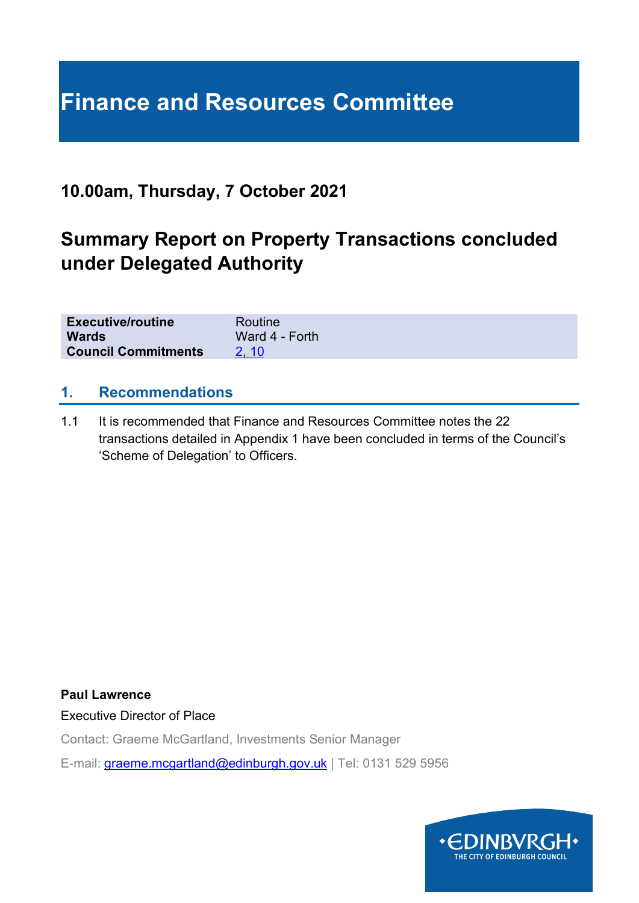# **Finance and Resources Committee**

# **10.00am, Thursday, 7 October 2021**

# **Summary Report on Property Transactions concluded under Delegated Authority**

| <b>Executive/routine</b>   | Routine        |
|----------------------------|----------------|
| <b>Wards</b>               | Ward 4 - Forth |
| <b>Council Commitments</b> |                |

#### **1. Recommendations**

1.1 It is recommended that Finance and Resources Committee notes the 22 transactions detailed in Appendix 1 have been concluded in terms of the Council's 'Scheme of Delegation' to Officers.

**Paul Lawrence**

Executive Director of Place

Contact: Graeme McGartland, Investments Senior Manager

E-mail: [graeme.mcgartland@edinburgh.gov.uk](mailto:graeme.mcgartland@edinburgh.gov.uk) | Tel: 0131 529 5956

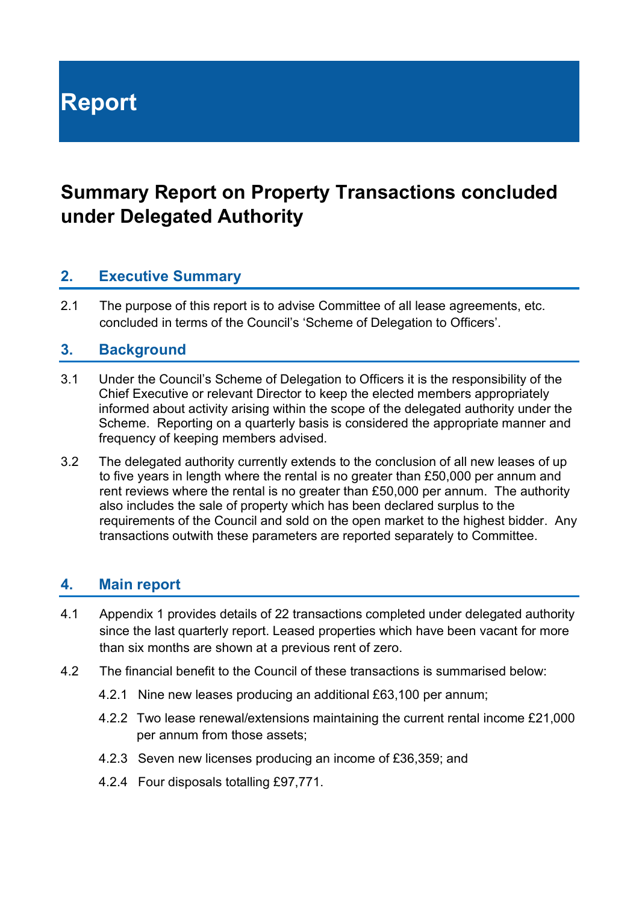**Report**

# **Summary Report on Property Transactions concluded under Delegated Authority**

### **2. Executive Summary**

2.1 The purpose of this report is to advise Committee of all lease agreements, etc. concluded in terms of the Council's 'Scheme of Delegation to Officers'.

#### **3. Background**

- 3.1 Under the Council's Scheme of Delegation to Officers it is the responsibility of the Chief Executive or relevant Director to keep the elected members appropriately informed about activity arising within the scope of the delegated authority under the Scheme. Reporting on a quarterly basis is considered the appropriate manner and frequency of keeping members advised.
- 3.2 The delegated authority currently extends to the conclusion of all new leases of up to five years in length where the rental is no greater than £50,000 per annum and rent reviews where the rental is no greater than £50,000 per annum. The authority also includes the sale of property which has been declared surplus to the requirements of the Council and sold on the open market to the highest bidder. Any transactions outwith these parameters are reported separately to Committee.

#### **4. Main report**

- 4.1 Appendix 1 provides details of 22 transactions completed under delegated authority since the last quarterly report. Leased properties which have been vacant for more than six months are shown at a previous rent of zero.
- 4.2 The financial benefit to the Council of these transactions is summarised below:
	- 4.2.1 Nine new leases producing an additional £63,100 per annum;
	- 4.2.2 Two lease renewal/extensions maintaining the current rental income £21,000 per annum from those assets;
	- 4.2.3 Seven new licenses producing an income of £36,359; and
	- 4.2.4 Four disposals totalling £97,771.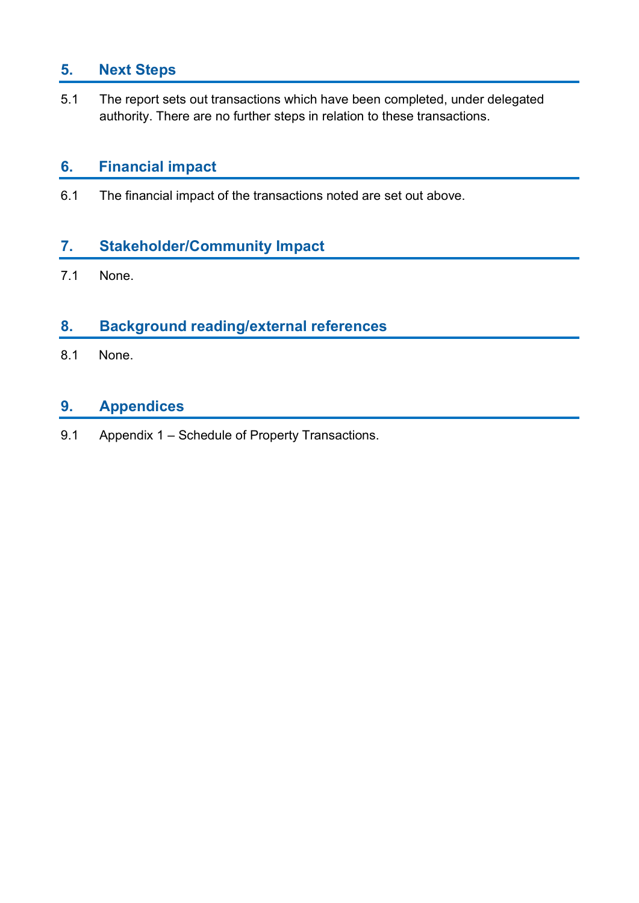# **5. Next Steps**

5.1 The report sets out transactions which have been completed, under delegated authority. There are no further steps in relation to these transactions.

#### **6. Financial impact**

6.1 The financial impact of the transactions noted are set out above.

# **7. Stakeholder/Community Impact**

7.1 None.

### **8. Background reading/external references**

8.1 None.

# **9. Appendices**

9.1 Appendix 1 – Schedule of Property Transactions.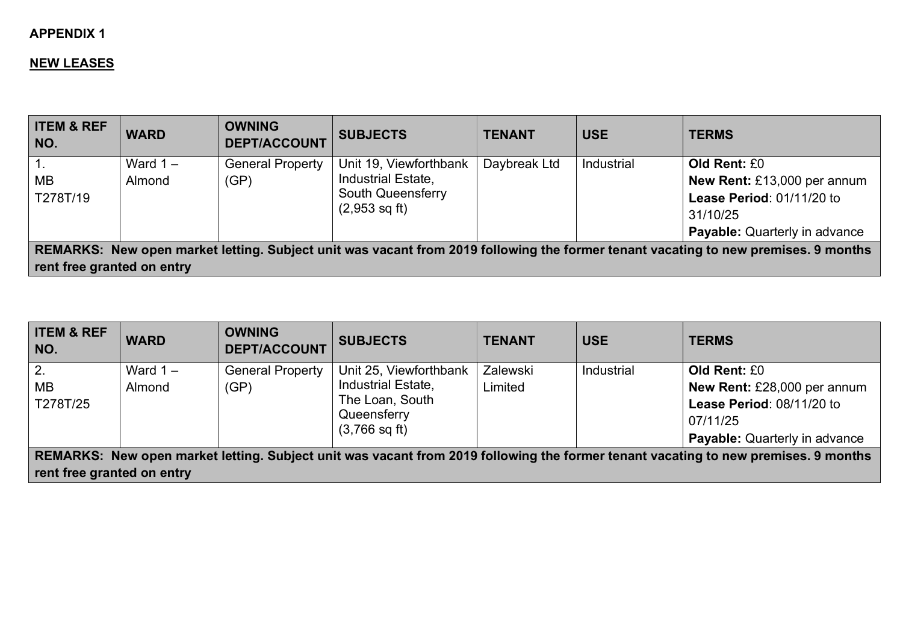#### **APPENDIX 1**

#### **NEW LEASES**

| <b>ITEM &amp; REF</b><br>NO. | <b>WARD</b>          | <b>OWNING</b><br><b>DEPT/ACCOUNT</b> | <b>SUBJECTS</b>                                                                                     | <b>TENANT</b> | <b>USE</b> | <b>TERMS</b>                                                                                                                       |
|------------------------------|----------------------|--------------------------------------|-----------------------------------------------------------------------------------------------------|---------------|------------|------------------------------------------------------------------------------------------------------------------------------------|
| MB<br>T278T/19               | Ward $1 -$<br>Almond | <b>General Property</b><br>(GP)      | Unit 19, Viewforthbank<br>Industrial Estate,<br><b>South Queensferry</b><br>$(2,953 \text{ sq ft})$ | Daybreak Ltd  | Industrial | Old Rent: £0<br>New Rent: £13,000 per annum<br>Lease Period: 01/11/20 to<br>31/10/25<br><b>Payable:</b> Quarterly in advance       |
| rent free granted on entry   |                      |                                      |                                                                                                     |               |            | REMARKS: New open market letting. Subject unit was vacant from 2019 following the former tenant vacating to new premises. 9 months |

| <b>ITEM &amp; REF</b><br>NO.                                                                                                       | <b>WARD</b> | <b>OWNING</b><br><b>DEPT/ACCOUNT</b> | <b>SUBJECTS</b>         | <b>TENANT</b>   | <b>USE</b> | <b>TERMS</b>                         |
|------------------------------------------------------------------------------------------------------------------------------------|-------------|--------------------------------------|-------------------------|-----------------|------------|--------------------------------------|
| $\overline{2}$ .                                                                                                                   | Ward $1 -$  | <b>General Property</b>              | Unit 25, Viewforthbank  | <b>Zalewski</b> | Industrial | Old Rent: £0                         |
| <b>MB</b>                                                                                                                          | Almond      | (GP)                                 | Industrial Estate,      | Limited         |            | New Rent: £28,000 per annum          |
| T278T/25                                                                                                                           |             |                                      | The Loan, South         |                 |            | Lease Period: 08/11/20 to            |
|                                                                                                                                    |             |                                      | Queensferry             |                 |            | 07/11/25                             |
|                                                                                                                                    |             |                                      | $(3,766 \text{ sq ft})$ |                 |            | <b>Payable:</b> Quarterly in advance |
| REMARKS: New open market letting. Subject unit was vacant from 2019 following the former tenant vacating to new premises. 9 months |             |                                      |                         |                 |            |                                      |
| rent free granted on entry                                                                                                         |             |                                      |                         |                 |            |                                      |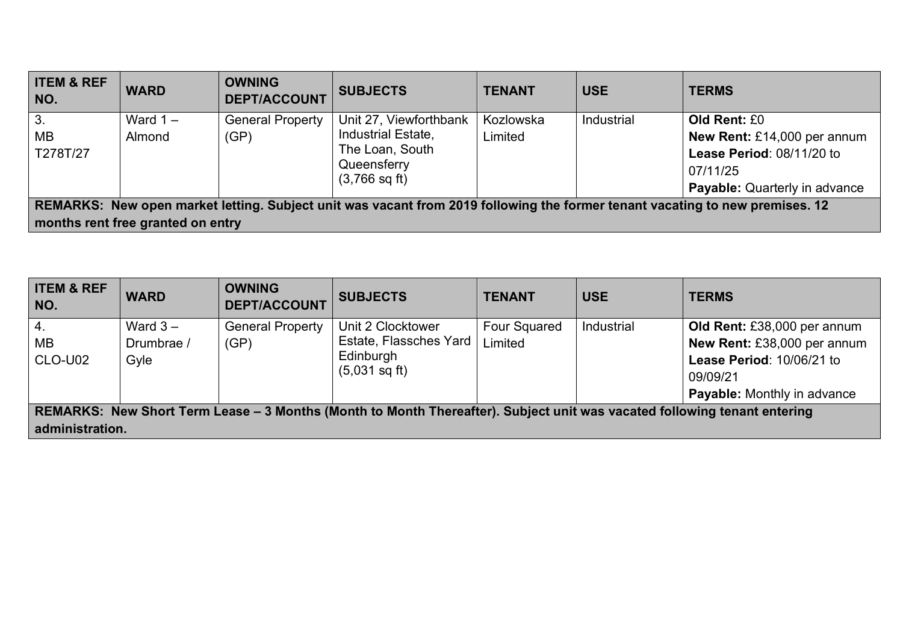| <b>ITEM &amp; REF</b><br>NO.                                                                                                                                      | <b>WARD</b>          | <b>OWNING</b><br><b>DEPT/ACCOUNT</b> | <b>SUBJECTS</b>                                                                                           | <b>TENANT</b>        | <b>USE</b> | <b>TERMS</b>                                                                                                                 |
|-------------------------------------------------------------------------------------------------------------------------------------------------------------------|----------------------|--------------------------------------|-----------------------------------------------------------------------------------------------------------|----------------------|------------|------------------------------------------------------------------------------------------------------------------------------|
| 3.<br>MB<br>T278T/27                                                                                                                                              | Ward $1 -$<br>Almond | <b>General Property</b><br>(GP)      | Unit 27, Viewforthbank<br>Industrial Estate,<br>The Loan, South<br>Queensferry<br>$(3,766 \text{ sq ft})$ | Kozlowska<br>Limited | Industrial | Old Rent: £0<br>New Rent: £14,000 per annum<br>Lease Period: 08/11/20 to<br>07/11/25<br><b>Payable:</b> Quarterly in advance |
| REMARKS: New open market letting. Subject unit was vacant from 2019 following the former tenant vacating to new premises. 12<br>months rent free granted on entry |                      |                                      |                                                                                                           |                      |            |                                                                                                                              |

| <b>ITEM &amp; REF</b><br>NO.                                                                                             | <b>WARD</b> | <b>OWNING</b><br><b>DEPT/ACCOUNT</b> | <b>SUBJECTS</b>         | <b>TENANT</b>       | <b>USE</b> | <b>TERMS</b>                       |
|--------------------------------------------------------------------------------------------------------------------------|-------------|--------------------------------------|-------------------------|---------------------|------------|------------------------------------|
| 4.                                                                                                                       | Ward $3 -$  | <b>General Property</b>              | Unit 2 Clocktower       | <b>Four Squared</b> | Industrial | Old Rent: £38,000 per annum        |
| <b>MB</b>                                                                                                                | Drumbrae /  | (GP)                                 | Estate, Flassches Yard  | Limited             |            | New Rent: £38,000 per annum        |
| CLO-U02                                                                                                                  | Gyle        |                                      | Edinburgh               |                     |            | Lease Period: 10/06/21 to          |
|                                                                                                                          |             |                                      | $(5,031 \text{ sq ft})$ |                     |            | 09/09/21                           |
|                                                                                                                          |             |                                      |                         |                     |            | <b>Payable:</b> Monthly in advance |
| REMARKS: New Short Term Lease – 3 Months (Month to Month Thereafter). Subject unit was vacated following tenant entering |             |                                      |                         |                     |            |                                    |
| administration.                                                                                                          |             |                                      |                         |                     |            |                                    |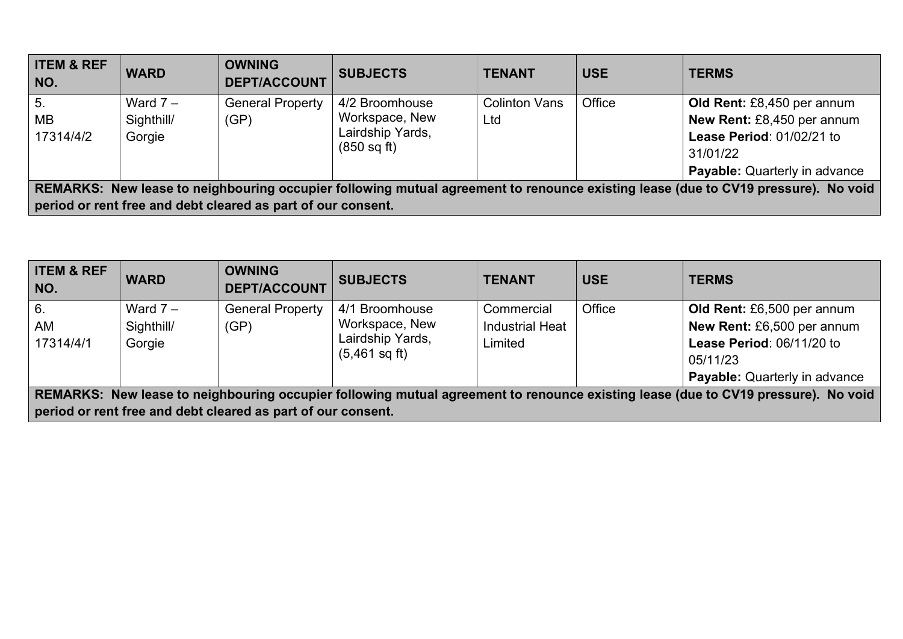| <b>ITEM &amp; REF</b><br>NO.                                                                                                                                                                      | <b>WARD</b>                        | <b>OWNING</b><br><b>DEPT/ACCOUNT</b> | <b>SUBJECTS</b>                                                     | <b>TENANT</b>               | <b>USE</b> | <b>TERMS</b>                                                                                                                              |
|---------------------------------------------------------------------------------------------------------------------------------------------------------------------------------------------------|------------------------------------|--------------------------------------|---------------------------------------------------------------------|-----------------------------|------------|-------------------------------------------------------------------------------------------------------------------------------------------|
| 5.<br>MВ<br>17314/4/2                                                                                                                                                                             | Ward $7 -$<br>Sighthill/<br>Gorgie | <b>General Property</b><br>(GP)      | 4/2 Broomhouse<br>Workspace, New<br>Lairdship Yards,<br>(850 sq ft) | <b>Colinton Vans</b><br>Ltd | Office     | Old Rent: £8,450 per annum<br>New Rent: £8,450 per annum<br>Lease Period: 01/02/21 to<br>31/01/22<br><b>Payable:</b> Quarterly in advance |
| REMARKS: New lease to neighbouring occupier following mutual agreement to renounce existing lease (due to CV19 pressure). No void<br>period or rent free and debt cleared as part of our consent. |                                    |                                      |                                                                     |                             |            |                                                                                                                                           |

| <b>ITEM &amp; REF</b><br>NO.                                                                                                      | <b>WARD</b> | <b>OWNING</b><br><b>DEPT/ACCOUNT</b>                         | <b>SUBJECTS</b>         | <b>TENANT</b>          | <b>USE</b> | <b>TERMS</b>                         |
|-----------------------------------------------------------------------------------------------------------------------------------|-------------|--------------------------------------------------------------|-------------------------|------------------------|------------|--------------------------------------|
| 6.                                                                                                                                | Ward $7 -$  | <b>General Property</b>                                      | 4/1 Broomhouse          | Commercial             | Office     | Old Rent: £6,500 per annum           |
| <b>AM</b>                                                                                                                         | Sighthill/  | (GP)                                                         | Workspace, New          | <b>Industrial Heat</b> |            | New Rent: £6,500 per annum           |
| 17314/4/1                                                                                                                         | Gorgie      |                                                              | Lairdship Yards,        | Limited                |            | Lease Period: 06/11/20 to            |
|                                                                                                                                   |             |                                                              | $(5,461 \text{ sq ft})$ |                        |            | 05/11/23                             |
|                                                                                                                                   |             |                                                              |                         |                        |            | <b>Payable:</b> Quarterly in advance |
| REMARKS: New lease to neighbouring occupier following mutual agreement to renounce existing lease (due to CV19 pressure). No void |             |                                                              |                         |                        |            |                                      |
|                                                                                                                                   |             | period or rent free and debt cleared as part of our consent. |                         |                        |            |                                      |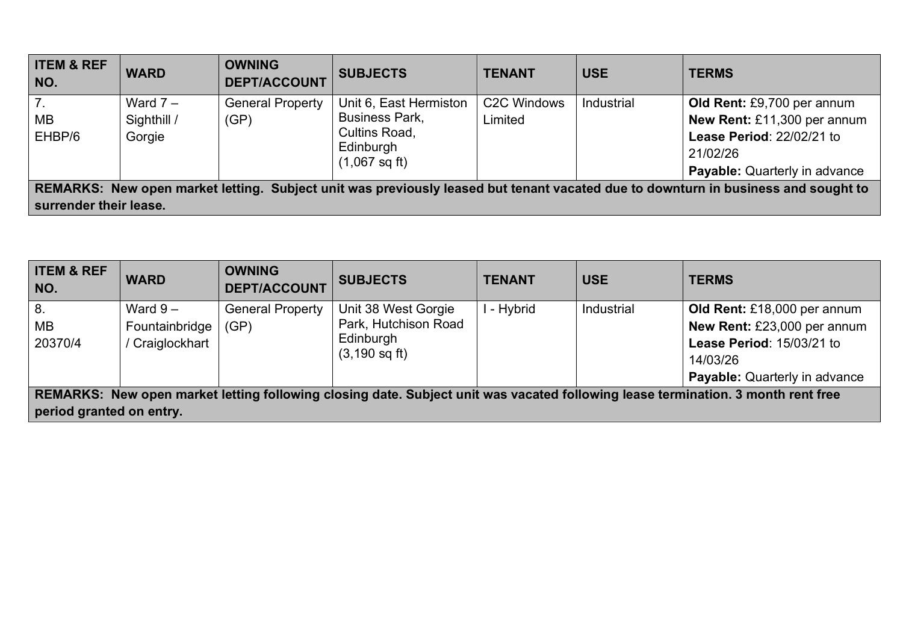| <b>ITEM &amp; REF</b><br>NO.                                                                                                                                | <b>WARD</b>                         | <b>OWNING</b><br><b>DEPT/ACCOUNT</b> | <b>SUBJECTS</b>                                                                                          | <b>TENANT</b>                       | <b>USE</b> | <b>TERMS</b>                                                                                                                               |
|-------------------------------------------------------------------------------------------------------------------------------------------------------------|-------------------------------------|--------------------------------------|----------------------------------------------------------------------------------------------------------|-------------------------------------|------------|--------------------------------------------------------------------------------------------------------------------------------------------|
| 7.<br><b>MB</b><br>EHBP/6                                                                                                                                   | Ward $7 -$<br>Sighthill /<br>Gorgie | <b>General Property</b><br>(GP)      | Unit 6, East Hermiston<br><b>Business Park,</b><br>Cultins Road,<br>Edinburgh<br>$(1,067 \text{ sq ft})$ | C <sub>2</sub> C Windows<br>Limited | Industrial | Old Rent: £9,700 per annum<br>New Rent: £11,300 per annum<br>Lease Period: 22/02/21 to<br>21/02/26<br><b>Payable:</b> Quarterly in advance |
| REMARKS: New open market letting. Subject unit was previously leased but tenant vacated due to downturn in business and sought to<br>surrender their lease. |                                     |                                      |                                                                                                          |                                     |            |                                                                                                                                            |

| <b>ITEM &amp; REF</b><br>NO.                                                                                                     | <b>WARD</b>    | <b>OWNING</b><br><b>DEPT/ACCOUNT</b> | <b>SUBJECTS</b>          | <b>TENANT</b> | <b>USE</b> | <b>TERMS</b>                         |
|----------------------------------------------------------------------------------------------------------------------------------|----------------|--------------------------------------|--------------------------|---------------|------------|--------------------------------------|
| 8.                                                                                                                               | Ward $9-$      | <b>General Property</b>              | Unit 38 West Gorgie      | - Hybrid      | Industrial | Old Rent: £18,000 per annum          |
| <b>MB</b>                                                                                                                        | Fountainbridge | (GP)                                 | Park, Hutchison Road     |               |            | New Rent: £23,000 per annum          |
| 20370/4                                                                                                                          | Craiglockhart  |                                      | Edinburgh                |               |            | Lease Period: 15/03/21 to            |
|                                                                                                                                  |                |                                      | $(3, 190 \text{ sq ft})$ |               |            | 14/03/26                             |
|                                                                                                                                  |                |                                      |                          |               |            | <b>Payable:</b> Quarterly in advance |
| REMARKS: New open market letting following closing date. Subject unit was vacated following lease termination. 3 month rent free |                |                                      |                          |               |            |                                      |
| period granted on entry.                                                                                                         |                |                                      |                          |               |            |                                      |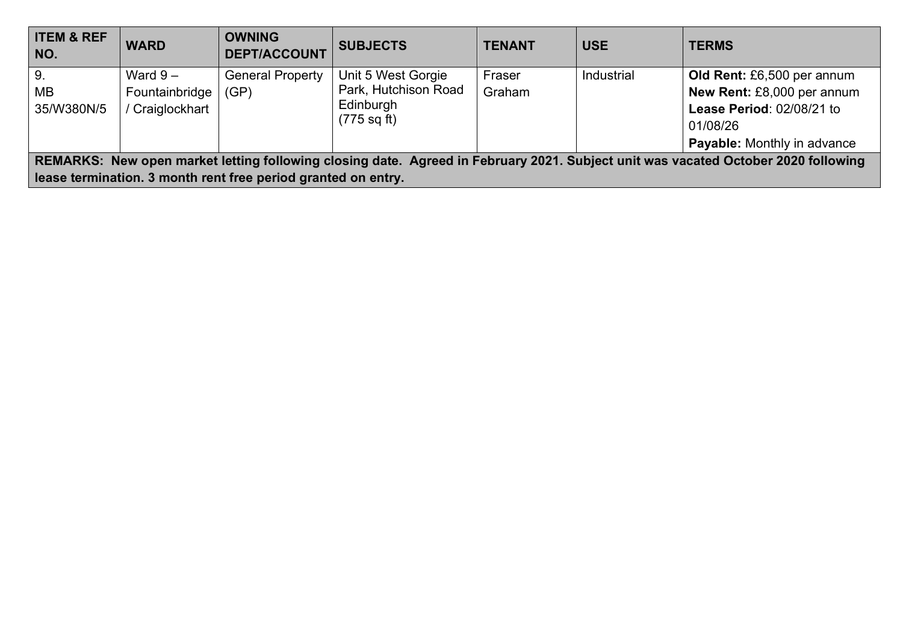| <b>ITEM &amp; REF</b><br>NO.                                                                                                                                                                       | <b>WARD</b>                                  | <b>OWNING</b><br><b>DEPT/ACCOUNT</b> | <b>SUBJECTS</b>                                         | <b>TENANT</b>    | <b>USE</b> | <b>TERMS</b>                                                                          |  |
|----------------------------------------------------------------------------------------------------------------------------------------------------------------------------------------------------|----------------------------------------------|--------------------------------------|---------------------------------------------------------|------------------|------------|---------------------------------------------------------------------------------------|--|
| 9 <sub>1</sub><br>MB<br>35/W380N/5                                                                                                                                                                 | Ward $9-$<br>Fountainbridge<br>Craiglockhart | <b>General Property</b><br>(GP)      | Unit 5 West Gorgie<br>Park, Hutchison Road<br>Edinburgh | Fraser<br>Graham | Industrial | Old Rent: £6,500 per annum<br>New Rent: £8,000 per annum<br>Lease Period: 02/08/21 to |  |
|                                                                                                                                                                                                    |                                              |                                      | $(775 \text{ sq ft})$                                   |                  |            | 01/08/26<br>Payable: Monthly in advance                                               |  |
| REMARKS: New open market letting following closing date. Agreed in February 2021. Subject unit was vacated October 2020 following<br>lease termination. 3 month rent free period granted on entry. |                                              |                                      |                                                         |                  |            |                                                                                       |  |
|                                                                                                                                                                                                    |                                              |                                      |                                                         |                  |            |                                                                                       |  |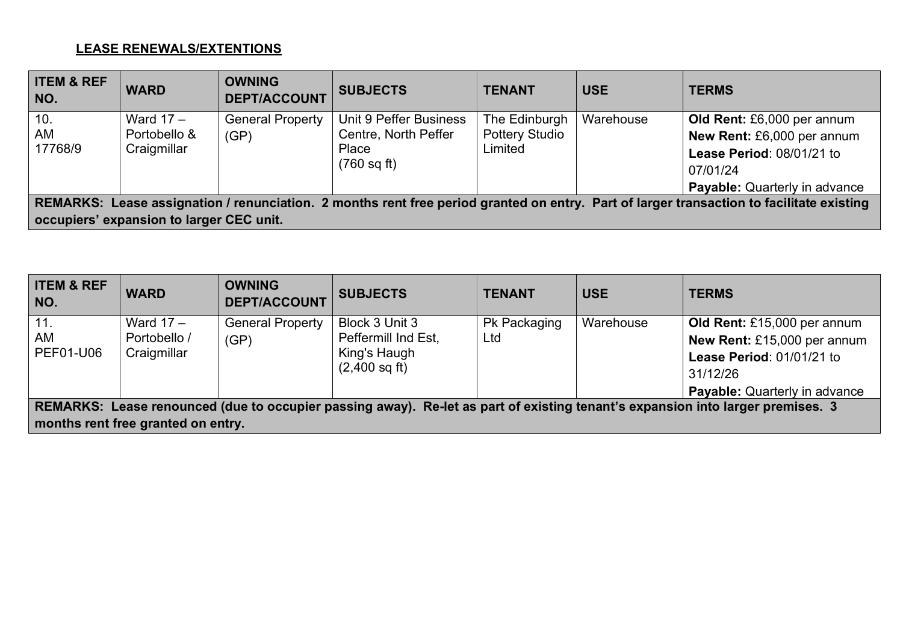### **LEASE RENEWALS/EXTENTIONS**

| <b>ITEM &amp; REF</b><br>NO.                                                                                                             | <b>WARD</b>                              | <b>OWNING</b><br><b>DEPT/ACCOUNT</b> | <b>SUBJECTS</b>        | <b>TENANT</b>         | <b>USE</b> | <b>TERMS</b>                         |
|------------------------------------------------------------------------------------------------------------------------------------------|------------------------------------------|--------------------------------------|------------------------|-----------------------|------------|--------------------------------------|
| 10.                                                                                                                                      | Ward $17 -$                              | <b>General Property</b>              | Unit 9 Peffer Business | The Edinburgh         | Warehouse  | Old Rent: £6,000 per annum           |
| AM                                                                                                                                       | Portobello &                             | (GP)                                 | Centre, North Peffer   | <b>Pottery Studio</b> |            | New Rent: £6,000 per annum           |
| 17768/9                                                                                                                                  | Craigmillar                              |                                      | Place                  | Limited               |            | Lease Period: 08/01/21 to            |
|                                                                                                                                          |                                          |                                      | $(760 \text{ sq ft})$  |                       |            | 07/01/24                             |
|                                                                                                                                          |                                          |                                      |                        |                       |            | <b>Payable:</b> Quarterly in advance |
| REMARKS: Lease assignation / renunciation. 2 months rent free period granted on entry. Part of larger transaction to facilitate existing |                                          |                                      |                        |                       |            |                                      |
|                                                                                                                                          | occupiers' expansion to larger CEC unit. |                                      |                        |                       |            |                                      |

| <b>ITEM &amp; REF</b><br>NO.                                                                                                   | <b>WARD</b>                        | <b>OWNING</b><br><b>DEPT/ACCOUNT</b> | <b>SUBJECTS</b>         | <b>TENANT</b> | <b>USE</b> | <b>TERMS</b>                         |  |
|--------------------------------------------------------------------------------------------------------------------------------|------------------------------------|--------------------------------------|-------------------------|---------------|------------|--------------------------------------|--|
| 11.                                                                                                                            | Ward $17 -$                        | <b>General Property</b>              | Block 3 Unit 3          | Pk Packaging  | Warehouse  | Old Rent: £15,000 per annum          |  |
| AM                                                                                                                             | Portobello /                       | (GP)                                 | Peffermill Ind Est,     | Ltd           |            | New Rent: £15,000 per annum          |  |
| PEF01-U06                                                                                                                      | Craigmillar                        |                                      | King's Haugh            |               |            | Lease Period: 01/01/21 to            |  |
|                                                                                                                                |                                    |                                      | $(2,400 \text{ sq ft})$ |               |            | 31/12/26                             |  |
|                                                                                                                                |                                    |                                      |                         |               |            | <b>Payable:</b> Quarterly in advance |  |
| REMARKS: Lease renounced (due to occupier passing away). Re-let as part of existing tenant's expansion into larger premises. 3 |                                    |                                      |                         |               |            |                                      |  |
|                                                                                                                                | months rent free granted on entry. |                                      |                         |               |            |                                      |  |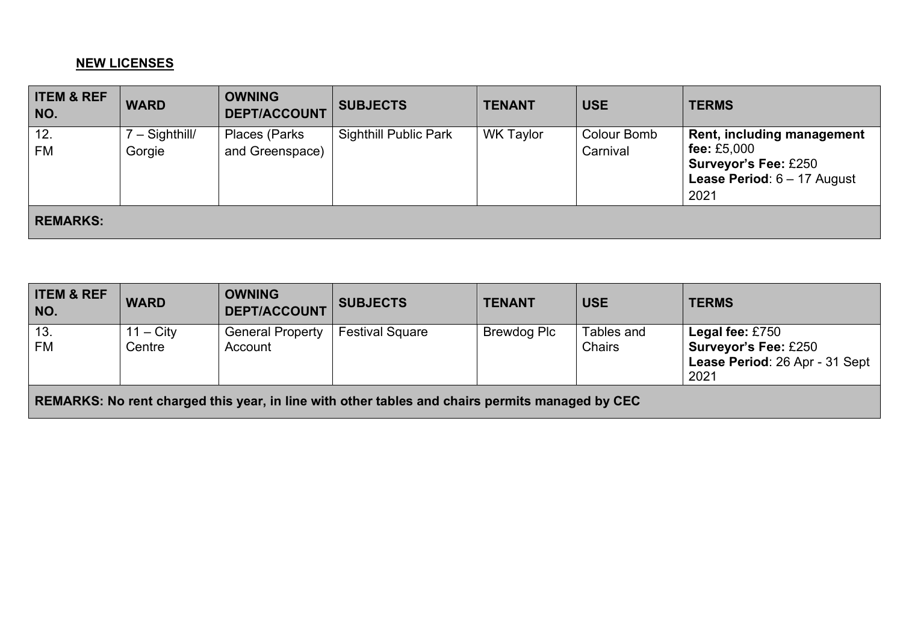#### **NEW LICENSES**

| <b>ITEM &amp; REF</b><br>NO. | <b>WARD</b>              | <b>OWNING</b><br><b>DEPT/ACCOUNT</b>     | <b>SUBJECTS</b>              | <b>TENANT</b>    | <b>USE</b>              | <b>TERMS</b>                                                                                                                        |
|------------------------------|--------------------------|------------------------------------------|------------------------------|------------------|-------------------------|-------------------------------------------------------------------------------------------------------------------------------------|
| 12.<br><b>FM</b>             | ' – Sighthill/<br>Gorgie | <b>Places (Parks)</b><br>and Greenspace) | <b>Sighthill Public Park</b> | <b>WK Taylor</b> | Colour Bomb<br>Carnival | Rent, including management<br>fee: £5,000<br><b>Surveyor's Fee: £250</b><br><b>Lease Period: <math>6 - 17</math> August</b><br>2021 |
| <b>REMARKS:</b>              |                          |                                          |                              |                  |                         |                                                                                                                                     |

| <b>ITEM &amp; REF</b><br>NO. | <b>WARD</b>           | <b>OWNING</b><br><b>DEPT/ACCOUNT</b> | <b>SUBJECTS</b>                                                                                 | <b>TENANT</b>      | <b>USE</b>                  | <b>TERMS</b>                                                                             |
|------------------------------|-----------------------|--------------------------------------|-------------------------------------------------------------------------------------------------|--------------------|-----------------------------|------------------------------------------------------------------------------------------|
| $\vert$ 13.<br><b>FM</b>     | $11 - City$<br>Centre | <b>General Property</b><br>Account   | <b>Festival Square</b>                                                                          | <b>Brewdog Plc</b> | Tables and<br><b>Chairs</b> | Legal fee: £750<br><b>Surveyor's Fee: £250</b><br>Lease Period: 26 Apr - 31 Sept<br>2021 |
|                              |                       |                                      | REMARKS: No rent charged this year, in line with other tables and chairs permits managed by CEC |                    |                             |                                                                                          |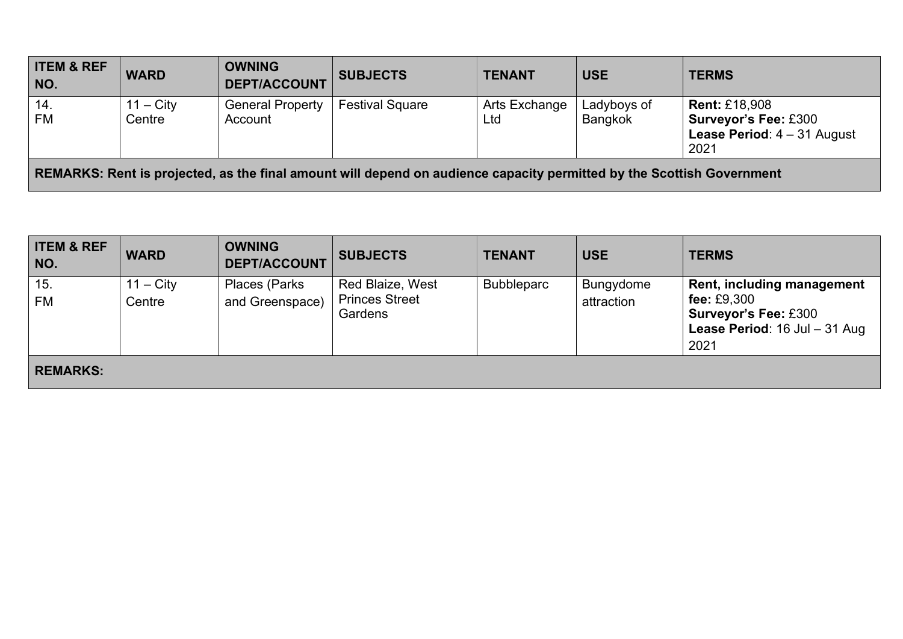| <b>ITEM &amp; REF</b><br>NO. | <b>WARD</b>                                                                                                           | <b>OWNING</b><br><b>DEPT/ACCOUNT</b> | <b>SUBJECTS</b>        | <b>TENANT</b>        | <b>USE</b>                    | <b>TERMS</b>                                                                                                   |  |
|------------------------------|-----------------------------------------------------------------------------------------------------------------------|--------------------------------------|------------------------|----------------------|-------------------------------|----------------------------------------------------------------------------------------------------------------|--|
| 14.<br><b>FM</b>             | $11 - \text{City}$<br>Centre                                                                                          | <b>General Property</b><br>Account   | <b>Festival Square</b> | Arts Exchange<br>Ltd | Ladyboys of<br><b>Bangkok</b> | <b>Rent: £18,908</b><br><b>Surveyor's Fee: £300</b><br><b>Lease Period: <math>4 - 31</math> August</b><br>2021 |  |
|                              | REMARKS: Rent is projected, as the final amount will depend on audience capacity permitted by the Scottish Government |                                      |                        |                      |                               |                                                                                                                |  |

| <b>ITEM &amp; REF</b><br>NO. | <b>WARD</b>           | <b>OWNING</b><br><b>DEPT/ACCOUNT</b> | <b>SUBJECTS</b>                                      | <b>TENANT</b>     | <b>USE</b>              | <b>TERMS</b>                                                                                                                      |
|------------------------------|-----------------------|--------------------------------------|------------------------------------------------------|-------------------|-------------------------|-----------------------------------------------------------------------------------------------------------------------------------|
| 15.<br>FM                    | $11 - City$<br>Centre | Places (Parks<br>and Greenspace)     | Red Blaize, West<br><b>Princes Street</b><br>Gardens | <b>Bubbleparc</b> | Bungydome<br>attraction | <b>Rent, including management</b><br>fee: $£9,300$<br><b>Surveyor's Fee: £300</b><br><b>Lease Period: 16 Jul - 31 Aug</b><br>2021 |
| <b>REMARKS:</b>              |                       |                                      |                                                      |                   |                         |                                                                                                                                   |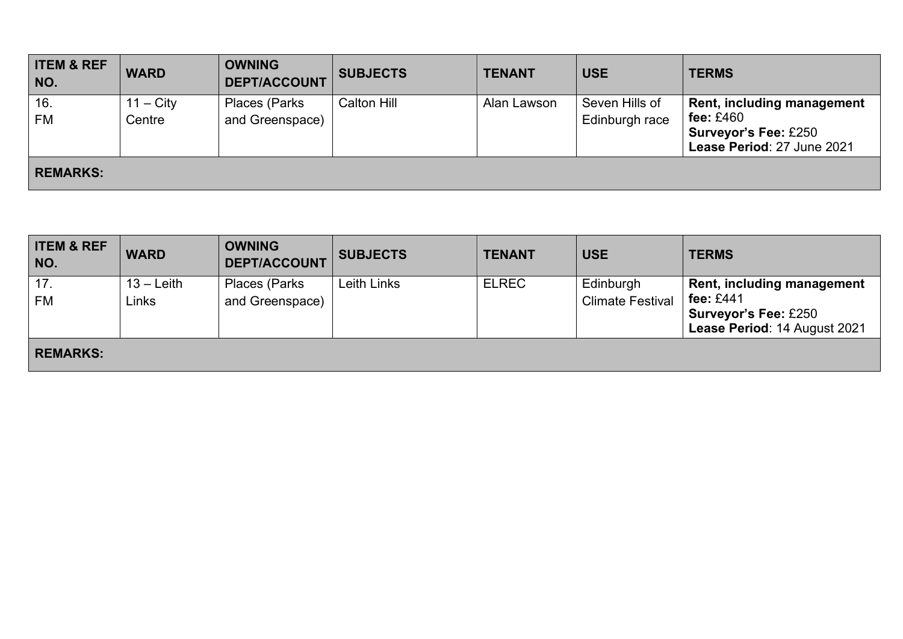| <b>ITEM &amp; REF</b><br>NO. | <b>WARD</b>                  | <b>OWNING</b><br><b>DEPT/ACCOUNT</b> | <b>SUBJECTS</b> | <b>TENANT</b> | <b>USE</b>                       | <b>TERMS</b>                                                                                           |
|------------------------------|------------------------------|--------------------------------------|-----------------|---------------|----------------------------------|--------------------------------------------------------------------------------------------------------|
| 16.<br><b>FM</b>             | $11 - \text{City}$<br>Centre | Places (Parks<br>and Greenspace)     | Calton Hill     | Alan Lawson   | Seven Hills of<br>Edinburgh race | Rent, including management<br>fee: $£460$<br><b>Surveyor's Fee: £250</b><br>Lease Period: 27 June 2021 |
| <b>REMARKS:</b>              |                              |                                      |                 |               |                                  |                                                                                                        |

| <b>ITEM &amp; REF</b><br>NO. | <b>WARD</b>           | <b>OWNING</b><br><b>DEPT/ACCOUNT</b> | <b>SUBJECTS</b> | <b>TENANT</b> | <b>USE</b>                           | <b>TERMS</b>                                                                                             |
|------------------------------|-----------------------|--------------------------------------|-----------------|---------------|--------------------------------------|----------------------------------------------------------------------------------------------------------|
| 17.<br><b>FM</b>             | $13 -$ Leith<br>∟inks | Places (Parks<br>and Greenspace)     | Leith Links     | <b>ELREC</b>  | Edinburgh<br><b>Climate Festival</b> | Rent, including management<br>fee: $£441$<br><b>Surveyor's Fee: £250</b><br>Lease Period: 14 August 2021 |
| <b>REMARKS:</b>              |                       |                                      |                 |               |                                      |                                                                                                          |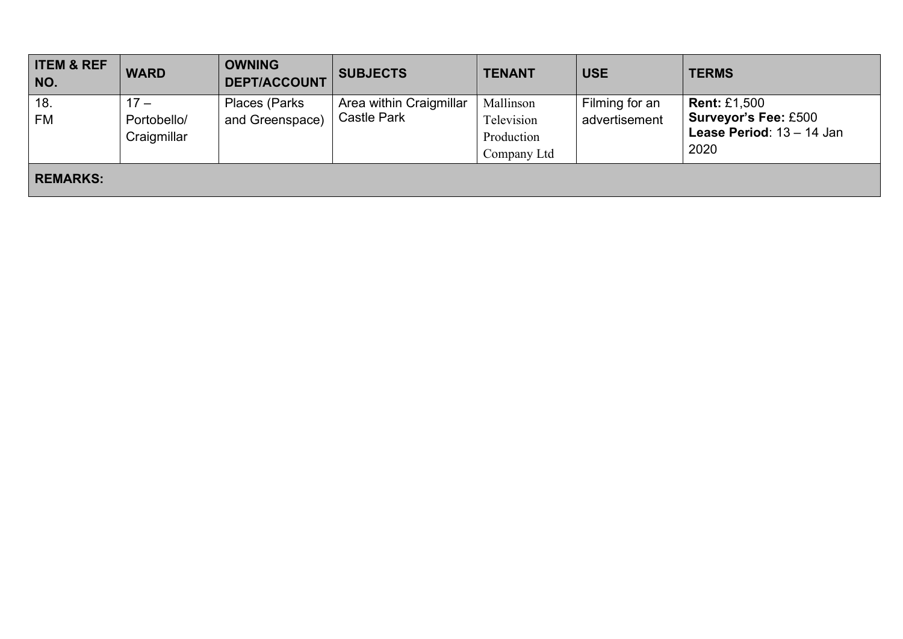| <b>ITEM &amp; REF</b><br>NO. | <b>WARD</b>                          | <b>OWNING</b><br><b>DEPT/ACCOUNT</b> | <b>SUBJECTS</b>                               | <b>TENANT</b>                                        | <b>USE</b>                      | <b>TERMS</b>                                                                                     |
|------------------------------|--------------------------------------|--------------------------------------|-----------------------------------------------|------------------------------------------------------|---------------------------------|--------------------------------------------------------------------------------------------------|
| 18.<br>FM                    | $17 -$<br>Portobello/<br>Craigmillar | Places (Parks<br>and Greenspace)     | Area within Craigmillar<br><b>Castle Park</b> | Mallinson<br>Television<br>Production<br>Company Ltd | Filming for an<br>advertisement | <b>Rent: £1,500</b><br><b>Surveyor's Fee: £500</b><br><b>Lease Period:</b> $13 - 14$ Jan<br>2020 |
| <b>REMARKS:</b>              |                                      |                                      |                                               |                                                      |                                 |                                                                                                  |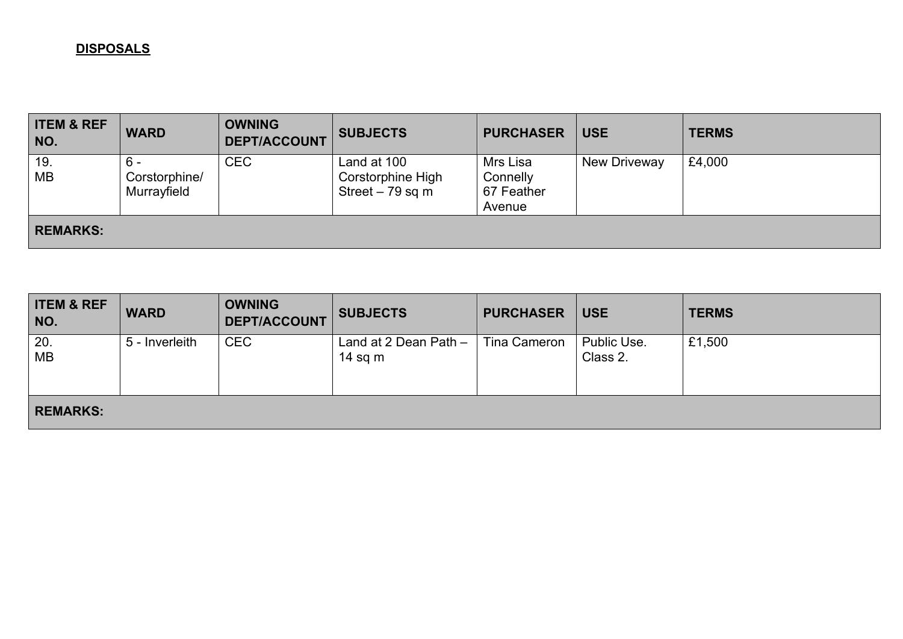### **DISPOSALS**

| <b>ITEM &amp; REF</b><br>NO. | <b>WARD</b>                         | <b>OWNING</b><br><b>DEPT/ACCOUNT</b> | <b>SUBJECTS</b>                                       | <b>PURCHASER</b>                             | <b>USE</b>   | <b>TERMS</b> |
|------------------------------|-------------------------------------|--------------------------------------|-------------------------------------------------------|----------------------------------------------|--------------|--------------|
| 19.<br><b>MB</b>             | - 6<br>Corstorphine/<br>Murrayfield | <b>CEC</b>                           | Land at 100<br>Corstorphine High<br>Street $-79$ sq m | Mrs Lisa<br>Connelly<br>67 Feather<br>Avenue | New Driveway | £4,000       |
| <b>REMARKS:</b>              |                                     |                                      |                                                       |                                              |              |              |

| <b>ITEM &amp; REF</b><br>NO. | <b>WARD</b>    | <b>OWNING</b><br><b>DEPT/ACCOUNT</b> | <b>SUBJECTS</b>                    | <b>PURCHASER</b> | <b>USE</b>              | <b>TERMS</b> |
|------------------------------|----------------|--------------------------------------|------------------------------------|------------------|-------------------------|--------------|
| 20.<br><b>MB</b>             | 5 - Inverleith | <b>CEC</b>                           | Land at 2 Dean Path $-$<br>14 sq m | Tina Cameron     | Public Use.<br>Class 2. | £1,500       |
| <b>REMARKS:</b>              |                |                                      |                                    |                  |                         |              |